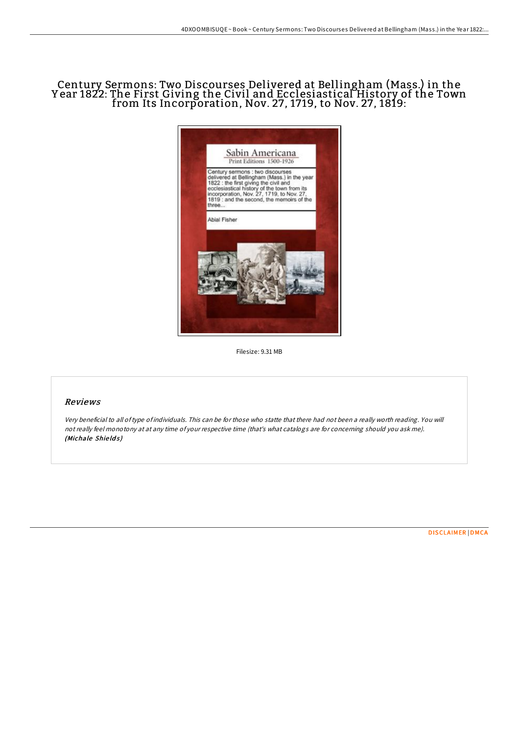# Century Sermons: Two Discourses Delivered at Bellingham (Mass.) in the Y ear 1822: The First Giving the Civil and Ecclesiastical History of the Town from Its Incorporation, Nov. 27, 1719, to Nov. 27, 1819:



Filesize: 9.31 MB

### Reviews

Very beneficial to all oftype of individuals. This can be for those who statte that there had not been <sup>a</sup> really worth reading. You will not really feel monotony at at any time of your respective time (that's what catalogs are for concerning should you ask me). (Michale Shields)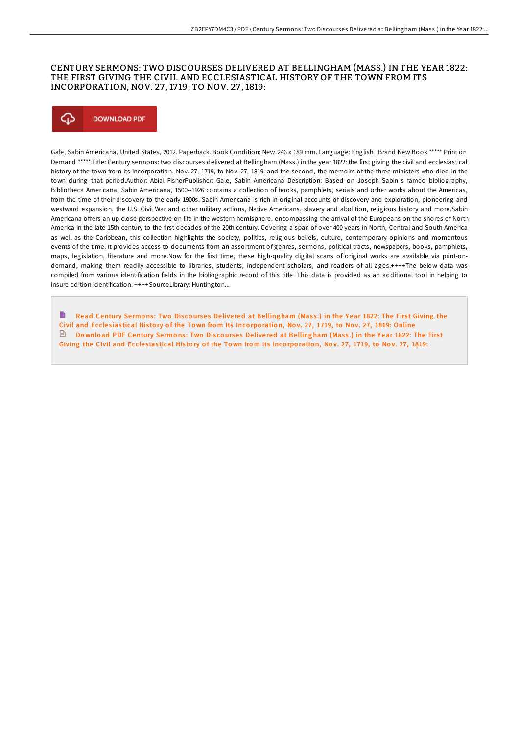### CENTURY SERMONS: TWO DISCOURSES DELIVERED AT BELLINGHAM (MASS.) IN THE YEAR 1822: THE FIRST GIVING THE CIVIL AND ECCLESIASTICAL HISTORY OF THE TOWN FROM ITS INCORPORATION, NOV. 27 , 17 19, TO NOV. 27 , 1819:



Gale, Sabin Americana, United States, 2012. Paperback. Book Condition: New. 246 x 189 mm. Language: English . Brand New Book \*\*\*\*\* Print on Demand \*\*\*\*\*.Title: Century sermons: two discourses delivered at Bellingham (Mass.) in the year 1822: the first giving the civil and ecclesiastical history of the town from its incorporation, Nov. 27, 1719, to Nov. 27, 1819: and the second, the memoirs of the three ministers who died in the town during that period.Author: Abial FisherPublisher: Gale, Sabin Americana Description: Based on Joseph Sabin s famed bibliography, Bibliotheca Americana, Sabin Americana, 1500--1926 contains a collection of books, pamphlets, serials and other works about the Americas, from the time of their discovery to the early 1900s. Sabin Americana is rich in original accounts of discovery and exploration, pioneering and westward expansion, the U.S. Civil War and other military actions, Native Americans, slavery and abolition, religious history and more.Sabin Americana offers an up-close perspective on life in the western hemisphere, encompassing the arrival of the Europeans on the shores of North America in the late 15th century to the first decades of the 20th century. Covering a span of over 400 years in North, Central and South America as well as the Caribbean, this collection highlights the society, politics, religious beliefs, culture, contemporary opinions and momentous events of the time. It provides access to documents from an assortment of genres, sermons, political tracts, newspapers, books, pamphlets, maps, legislation, literature and more.Now for the first time, these high-quality digital scans of original works are available via print-ondemand, making them readily accessible to libraries, students, independent scholars, and readers of all ages.++++The below data was compiled from various identification fields in the bibliographic record of this title. This data is provided as an additional tool in helping to insure edition identification: ++++SourceLibrary: Huntington...

B Read [Century](http://almighty24.tech/century-sermons-two-discourses-delivered-at-bell.html) Sermons: Two Discourses Delivered at Bellingham (Mass.) in the Year 1822: The First Giving the Civil and Ecclesiastical History of the Town from Its Incorporation, Nov. 27, 1719, to Nov. 27, 1819: Online  $\Box$  Download PDF [Century](http://almighty24.tech/century-sermons-two-discourses-delivered-at-bell.html) Sermons: Two Discourses Delivered at Bellingham (Mass.) in the Year 1822: The First Giving the Civil and Ecclesiastical History of the Town from Its Incorporation, Nov. 27, 1719, to Nov. 27, 1819: